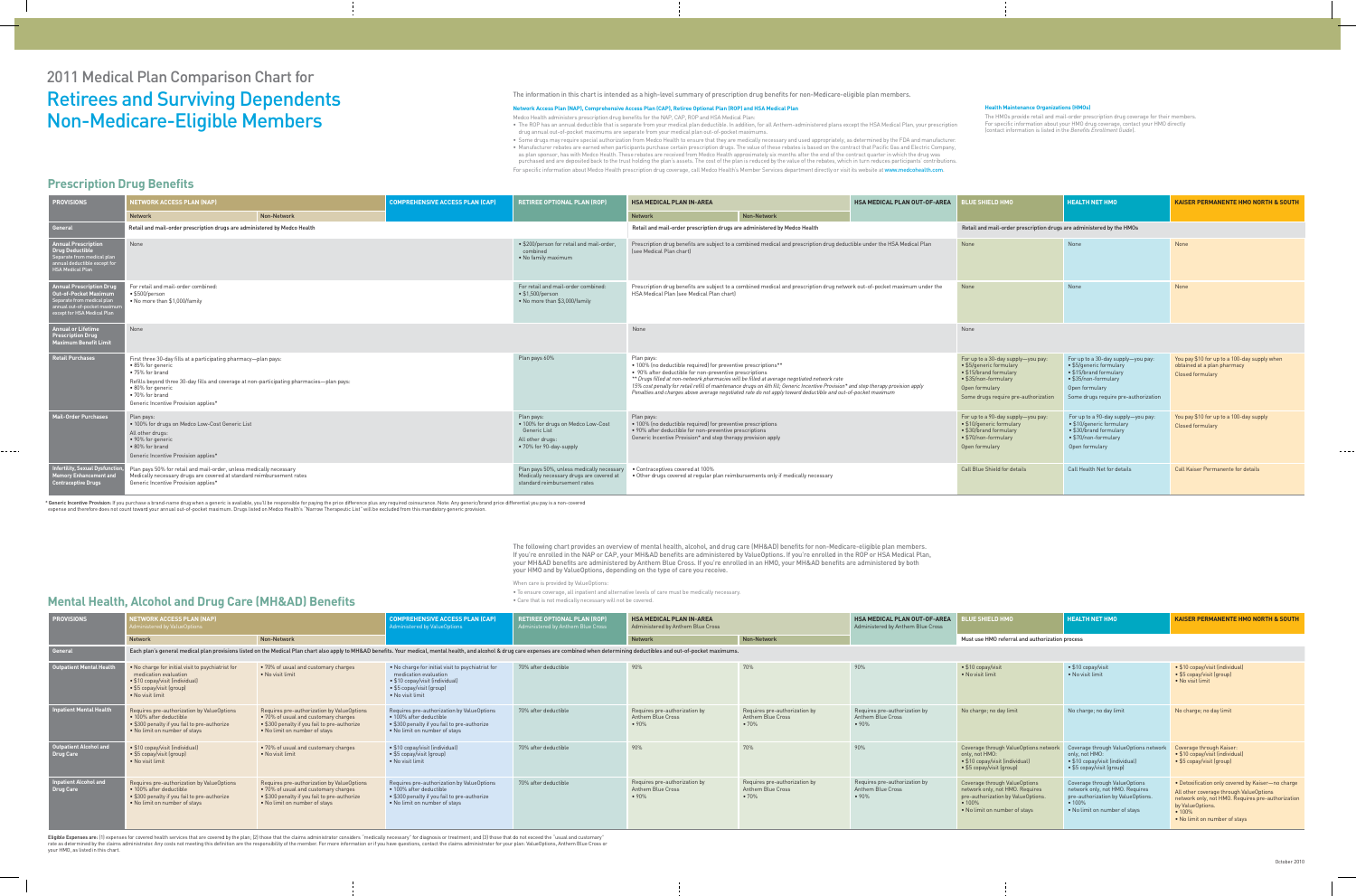# 2011 Medical Plan Comparison Chart for Retirees and Surviving Dependents Non-Medicare-Eligible Members

#### The information in this chart is intended as a high-level summary of prescription drug benefits for non-Medicare-eligible plan members.

#### **Network Access Plan (NAP), Comprehensive Access Plan (CAP), Retiree Optional Plan (ROP) and HSA Medical Plan**

Medco Health administers prescription drug benefits for the NAP, CAP, ROP and HSA Medical Plan:

- The ROP has an annual deductible that is separate from your medical plan deductible. In addition, for all Anthem-administered plans except the HSA Medical Plan, your prescription drug annual out-of-pocket maximums are separate from your medical plan out-of-pocket maximums.
- Some drugs may require special authorization from Medco Health to ensure that they are medically necessary and used appropriately, as determined by the FDA and manufacturer. • Manufacturer rebates are earned when participants purchase certain prescription drugs. The value of these rebates is based on the contract that Pacific Gas and Electric Company, as plan sponsor, has with Medco Health. These rebates are received from Medco Health approximately six months after the end of the contract quarter in which the drug was purchased and are deposited back to the trust holding the plan's assets. The cost of the plan is reduced by the value of the rebates, which in turn reduces participants' contributions.

For specific information about Medco Health prescription drug coverage, call Medco Health's Member Services department directly or visit its website at www.medcohealth.com.

| <b>PROVISIONS</b>                                                                                                                                 | <b>NETWORK ACCESS PLAN (NAP)</b>                                                                                                                                                                                                                                                     |             | <b>COMPREHENSIVE ACCESS PLAN (CAP)</b>                                                                              | <b>RETIREE OPTIONAL PLAN (ROP)</b>                                                                                                                                                                                                                                                                                                                                                                                                                                                           | <b>HSA MEDICAL PLAN IN-AREA</b>                                           |                                                                                                                                                                                   | <b>HSA MEDICAL PLAN OUT-OF-AREA</b>                                                                                                                                               | <b>BLUE SHIELD HMO</b>                                                                                                             | HEALTH NET HMO                                              | <b>KAISER PERMANENTE HMO NORTH &amp; SOUTH</b> |  |
|---------------------------------------------------------------------------------------------------------------------------------------------------|--------------------------------------------------------------------------------------------------------------------------------------------------------------------------------------------------------------------------------------------------------------------------------------|-------------|---------------------------------------------------------------------------------------------------------------------|----------------------------------------------------------------------------------------------------------------------------------------------------------------------------------------------------------------------------------------------------------------------------------------------------------------------------------------------------------------------------------------------------------------------------------------------------------------------------------------------|---------------------------------------------------------------------------|-----------------------------------------------------------------------------------------------------------------------------------------------------------------------------------|-----------------------------------------------------------------------------------------------------------------------------------------------------------------------------------|------------------------------------------------------------------------------------------------------------------------------------|-------------------------------------------------------------|------------------------------------------------|--|
|                                                                                                                                                   | <b>Network</b>                                                                                                                                                                                                                                                                       | Non-Network |                                                                                                                     |                                                                                                                                                                                                                                                                                                                                                                                                                                                                                              | <b>Network</b>                                                            | Non-Network                                                                                                                                                                       |                                                                                                                                                                                   |                                                                                                                                    |                                                             |                                                |  |
| <b>General</b>                                                                                                                                    | Retail and mail-order prescription drugs are administered by Medco Health                                                                                                                                                                                                            |             |                                                                                                                     |                                                                                                                                                                                                                                                                                                                                                                                                                                                                                              | Retail and mail-order prescription drugs are administered by Medco Health |                                                                                                                                                                                   |                                                                                                                                                                                   | Retail and mail-order prescription drugs are administered by the HMOs                                                              |                                                             |                                                |  |
| <b>Annual Prescription</b><br>Drug Deductible<br>pparate from medical plan<br>nual deductible except for<br><b>HSA Medical Plan</b>               | None                                                                                                                                                                                                                                                                                 |             |                                                                                                                     | • \$200/person for retail and mail-order,<br>combined<br>• No family maximum                                                                                                                                                                                                                                                                                                                                                                                                                 | (see Medical Plan chart)                                                  | Prescription drug benefits are subject to a combined medical and prescription drug deductible under the HSA Medical Plan                                                          |                                                                                                                                                                                   | None                                                                                                                               | None                                                        | None                                           |  |
| <b>Annual Prescription Drug</b><br>Out-of-Pocket Maximum<br>eparate from medical plar<br>nual out-of-pocket maximi<br>except for HSA Medical Plan | For retail and mail-order combined:<br>• \$500/person<br>• No more than \$1,000/family                                                                                                                                                                                               |             | For retail and mail-order combined:<br>$\bullet$ \$1,500/person<br>$\bullet$ No more than \$3,000/family            | Prescription drug benefits are subject to a combined medical and prescription drug network out-of-pocket maximum under the<br>HSA Medical Plan (see Medical Plan chart)                                                                                                                                                                                                                                                                                                                      |                                                                           |                                                                                                                                                                                   | None                                                                                                                                                                              | None                                                                                                                               | None                                                        |                                                |  |
| <b>Annual or Lifetime</b><br><b>Prescription Drug</b><br>Aaximum Benefit Limit                                                                    | None                                                                                                                                                                                                                                                                                 |             |                                                                                                                     |                                                                                                                                                                                                                                                                                                                                                                                                                                                                                              | None                                                                      |                                                                                                                                                                                   |                                                                                                                                                                                   | None                                                                                                                               |                                                             |                                                |  |
| <b>Retail Purchases</b>                                                                                                                           | First three 30-day fills at a participating pharmacy-plan pays:<br>• 85% for generic<br>• 75% for brand<br>Refills beyond three 30-day fills and coverage at non-participating pharmacies-plan pays:<br>• 80% for generic<br>• 70% for brand<br>Generic Incentive Provision applies* |             | Plan pays 60%                                                                                                       | Plan pays:<br>. 100% (no deductible required) for preventive prescriptions**<br>• 90% after deductible for non-preventive prescriptions<br>** Drugs filled at non-network pharmacies will be filled at average negotiated network rate<br>15% cost penalty for retail refill of maintenance drugs on 4th fill; Generic Incentive Provision* and step therapy provision apply<br>Penalties and charges above average negotiated rate do not apply toward deductible and out-of-pocket maximum |                                                                           | For up to a 30-day supply-you pay:<br>• \$5/generic formulary<br>• \$15/brand formulary<br>$\bullet$ \$35/non-formulary<br>Open formulary<br>Some drugs require pre-authorization | For up to a 30-day supply-you pay:<br>$\bullet$ \$5/qeneric formulary<br>• \$15/brand formulary<br>• \$35/non-formulary<br>Open formulary<br>Some drugs require pre-authorization | You pay \$10 for up to a 100-day supply when<br>obtained at a plan pharmacy<br><b>Closed formulary</b>                             |                                                             |                                                |  |
| <b>Mail-Order Purchases</b>                                                                                                                       | Plan pays:<br>. 100% for drugs on Medco Low-Cost Generic List<br>All other drugs:<br>• 90% for generic<br>• 80% for brand<br>Generic Incentive Provision applies*                                                                                                                    |             | Plan pays:<br>. 100% for drugs on Medco Low-Cost<br>Generic List<br>All other drugs:<br>• 70% for 90-day-supply     | Plan pays:<br>• 100% (no deductible required) for preventive prescriptions<br>. 90% after deductible for non-preventive prescriptions<br>Generic Incentive Provision* and step therapy provision apply                                                                                                                                                                                                                                                                                       |                                                                           |                                                                                                                                                                                   | For up to a 90-day supply-you pay:<br>• \$10/generic formulary<br>• \$30/brand formulary<br>• \$70/non-formulary<br>Open formulary                                                | For up to a 90-day supply-you pay:<br>• \$10/generic formulary<br>• \$30/brand formulary<br>• \$70/non-formulary<br>Open formulary | You pay \$10 for up to a 100-day supply<br>Closed formulary |                                                |  |
| Infertility, Sexual Dysfunctio<br><b>Aemory Enhancement and</b><br><b>Contraceptive Drugs</b>                                                     | Plan pays 50% for retail and mail-order, unless medically necessary<br>Medically necessary drugs are covered at standard reimbursement rates<br>Generic Incentive Provision applies*                                                                                                 |             | Plan pays 50%, unless medically necessa<br>Medically necessary drugs are covered at<br>standard reimbursement rates | • Contraceptives covered at 100%<br>. Other drugs covered at regular plan reimbursements only if medically necessary                                                                                                                                                                                                                                                                                                                                                                         |                                                                           | Call Blue Shield for details                                                                                                                                                      | Call Health Net for details                                                                                                                                                       | <b>Call Kaiser Permanente for details</b>                                                                                          |                                                             |                                                |  |

The following chart provides an overview of mental health, alcohol, and drug care (MH&AD) benefits for non-Medicare-eligible plan members. If you're enrolled in the NAP or CAP, your MH&AD benefits are administered by ValueOptions. If you're enrolled in the ROP or HSA Medical Plan, your MH&AD benefits are administered by Anthem Blue Cross. If you're enrolled in an HMO, your MH&AD benefits are administered by both your HMO and by ValueOptions, depending on the type of care you receive.

\* Generic Incentive Provision: If you purchase a brand-name drug when a generic is available, you'll be responsible for paying the price difference plus any required coinsurance. Note: Any generic/brand price differential expense and therefore does not count toward your annual out-of-pocket maximum. Drugs listed on Medco Health's "Narrow Therapeutic List" will be excluded from this mandatory generic provision.

When care is provided by ValueOptions:

Eligible Expenses are: (1) expenses for covered health services that are covered by the plan; (2) those that the claims administrator considers "medically necessary" for diagnosis or treatment; and (3) those that do not ex rate as determined by the claims administrator. Any costs not meeting this definition are the responsibility of the member. For more information or if you have questions, contact the claims administrator for your plan: Val your HMO, as listed in this chart.

• To ensure coverage, all inpatient and alternative levels of care must be medically necessary.

• Care that is not medically necessary will not be covered.

#### **Health Maintenance Organizations (HMOs)**

The HMOs provide retail and mail-order prescription drug coverage for their members. For specific information about your HMO drug coverage, contact your HMO directly (contact information is listed in the *Benefits Enrollment Guide*).

### **Prescription Drug Benefits**

| <b>BLUE SHIELD HMO</b>                                                                                                                            | <b>HEALTH NET HMO</b>                                                                                                                             | <b>KAISER PERMANENTE HMO NORTH &amp; SOUTH</b>                                                                                                                                                                   |  |  |  |  |  |  |  |
|---------------------------------------------------------------------------------------------------------------------------------------------------|---------------------------------------------------------------------------------------------------------------------------------------------------|------------------------------------------------------------------------------------------------------------------------------------------------------------------------------------------------------------------|--|--|--|--|--|--|--|
| Must use HMO referral and authorization process                                                                                                   |                                                                                                                                                   |                                                                                                                                                                                                                  |  |  |  |  |  |  |  |
|                                                                                                                                                   |                                                                                                                                                   |                                                                                                                                                                                                                  |  |  |  |  |  |  |  |
| • \$10 copay/visit<br>• No visit limit                                                                                                            | • \$10 copay/visit<br>• No visit limit                                                                                                            | • \$10 copay/visit (individual)<br>• \$5 copay/visit (group)<br>• No visit limit                                                                                                                                 |  |  |  |  |  |  |  |
| No charge; no day limit                                                                                                                           | No charge; no day limit                                                                                                                           | No charge; no day limit                                                                                                                                                                                          |  |  |  |  |  |  |  |
| Coverage through ValueOptions network<br>only, not HMO:<br>• \$10 copay/visit (individual)<br>• \$5 copay/visit (group)                           | Coverage through ValueOptions network<br>only, not HMO:<br>• \$10 copay/visit (individual)<br>• \$5 copay/visit (group)                           | Coverage through Kaiser:<br>• \$10 copay/visit (individual)<br>• \$5 copay/visit (group)                                                                                                                         |  |  |  |  |  |  |  |
| Coverage through ValueOptions<br>network only, not HMO. Requires<br>pre-authorization by ValueOptions.<br>• 100%<br>. No limit on number of stays | Coverage through ValueOptions<br>network only, not HMO. Requires<br>pre-authorization by ValueOptions.<br>• 100%<br>. No limit on number of stays | • Detoxification only covered by Kaiser-no charge<br>All other coverage through ValueOptions<br>network only, not HMO. Requires pre-authorization<br>by ValueOptions.<br>• 100%<br>. No limit on number of stays |  |  |  |  |  |  |  |

| <b>PROVISIONS</b>                                 | <b>IETWORK ACCESS PLAN (NAP)</b><br>dministered by ValueOptions                                                                                                                                                                |                                                                                                                                                                     | <b>ETIREE OPTIONAL PLAN (ROP)</b><br>COMPREHENSIVE ACCESS PLAN (CAP)<br>Administered by Anthem Blue Cross<br>Administered by ValueOptions                      |                      | <b>HSA MEDICAL PLAN IN-AREA</b><br>Administered by Anthem Blue Cross |                                                                   | <b>HSA MEDICAL PLAN OUT-OF-AREA</b><br>Administered by Anthem Blue Cross | LUE SHIELD HMO <sup>1</sup>                                                                                                                               | <b>HEALTH NET HMO</b>                                                                                                                                   | <b>KAISER PERMANEN</b>                                                                                                                |  |
|---------------------------------------------------|--------------------------------------------------------------------------------------------------------------------------------------------------------------------------------------------------------------------------------|---------------------------------------------------------------------------------------------------------------------------------------------------------------------|----------------------------------------------------------------------------------------------------------------------------------------------------------------|----------------------|----------------------------------------------------------------------|-------------------------------------------------------------------|--------------------------------------------------------------------------|-----------------------------------------------------------------------------------------------------------------------------------------------------------|---------------------------------------------------------------------------------------------------------------------------------------------------------|---------------------------------------------------------------------------------------------------------------------------------------|--|
|                                                   | <b>Network</b>                                                                                                                                                                                                                 | Non-Network                                                                                                                                                         |                                                                                                                                                                |                      | <b>Network</b>                                                       | Non-Network                                                       |                                                                          | Must use HMO referral and authorization process                                                                                                           |                                                                                                                                                         |                                                                                                                                       |  |
| General                                           | Each plan's general medical plan provisions listed on the Medical Plan chart also apply to MH&AD benefits. Your medical, mental health, and alcohol & drug care expenses are combined when determining deductibles and out-of- |                                                                                                                                                                     |                                                                                                                                                                |                      |                                                                      |                                                                   |                                                                          |                                                                                                                                                           |                                                                                                                                                         |                                                                                                                                       |  |
| <b>Outpatient Mental Health</b>                   | . No charge for initial visit to psychiatrist for<br>medication evaluation<br>• \$10 copay/visit (individual)<br>• \$5 copay/visit (group)<br>• No visit limit                                                                 | • 70% of usual and customary charges<br>• No visit limit                                                                                                            | • No charge for initial visit to psychiatrist for<br>medication evaluation<br>• \$10 copay/visit (individual)<br>• \$5 copay/visit (group)<br>• No visit limit | 70% after deductible | 90%                                                                  | 70%                                                               | 90%                                                                      | $\bullet$ \$10 copay/visit<br>• No visit limit                                                                                                            | $\bullet$ \$10 copay/visit<br>• No visit limit                                                                                                          | • \$10 copay/visit (indivi<br>• \$5 copay/visit (group)<br>• No visit limit                                                           |  |
| <b>Inpatient Mental Health</b>                    | Requires pre-authorization by ValueOptions<br>• 100% after deductible<br>• \$300 penalty if you fail to pre-authorize<br>• No limit on number of stays                                                                         | Requires pre-authorization by ValueOptions<br>• 70% of usual and customary charges<br>• \$300 penalty if you fail to pre-authorize<br>• No limit on number of stays | Requires pre-authorization by ValueOptions<br>• 100% after deductible<br>• \$300 penalty if you fail to pre-authorize<br>• No limit on number of stays         | 70% after deductible | Requires pre-authorization by<br><b>Anthem Blue Cross</b><br>•90%    | Requires pre-authorization by<br><b>Anthem Blue Cross</b><br>•70% | Requires pre-authorization by<br><b>Anthem Blue Cross</b><br>• 90%       | No charge; no day limit                                                                                                                                   | No charge; no day limit                                                                                                                                 | No charge; no day limit                                                                                                               |  |
| <b>Outpatient Alcohol and</b><br><b>Drug Care</b> | • \$10 copay/visit (individual)<br>• \$5 copay/visit (group)<br>• No visit limit                                                                                                                                               | • 70% of usual and customary charges<br>• No visit limit                                                                                                            | • \$10 copay/visit (individual)<br>• \$5 copay/visit (group)<br>• No visit limit                                                                               | 70% after deductible | 90%                                                                  | 70%                                                               | 90%                                                                      | Coverage through ValueOptions network<br>only, not HMO:<br>• \$10 copay/visit (individual)<br>$\bullet$ \$5 copay/visit (group)                           | Coverage through ValueOptions networl<br>only, not HMO:<br>• \$10 copay/visit (individual)<br>$\bullet$ \$5 copay/visit (group)                         | Coverage through Kais<br>• \$10 copay/visit (indivi<br>• \$5 copay/visit (group)                                                      |  |
| <b>Inpatient Alcohol and</b><br><b>Drug Care</b>  | Requires pre-authorization by ValueOptions<br>· 100% after deductible<br>• \$300 penalty if you fail to pre-authorize<br>. No limit on number of stays                                                                         | Requires pre-authorization by ValueOptions<br>• 70% of usual and customary charges<br>• \$300 penalty if you fail to pre-authorize<br>. No limit on number of stays | Requires pre-authorization by ValueOptions<br>• 100% after deductible<br>• \$300 penalty if you fail to pre-authorize<br>• No limit on number of stays         | 70% after deductible | Requires pre-authorization by<br><b>Anthem Blue Cross</b><br>•90%    | Requires pre-authorization by<br><b>Anthem Blue Cross</b><br>•70% | Requires pre-authorization by<br><b>Anthem Blue Cross</b><br>•90%        | Coverage through ValueOptions<br>network only, not HMO. Requires<br>pre-authorization by ValueOptions.<br>$\bullet$ 100%<br>• No limit on number of stays | Coverage through ValueOptions<br>network only, not HMO. Requires<br>pre-authorization by ValueOptions.<br>$\cdot$ 100%<br>. No limit on number of stays | • Detoxification only co<br>All other coverage thro<br>network only, not HMO<br>by ValueOptions.<br>• 100%<br>• No limit on number of |  |

## **Mental Health, Alcohol and Drug Care (MH&AD) Benefits**